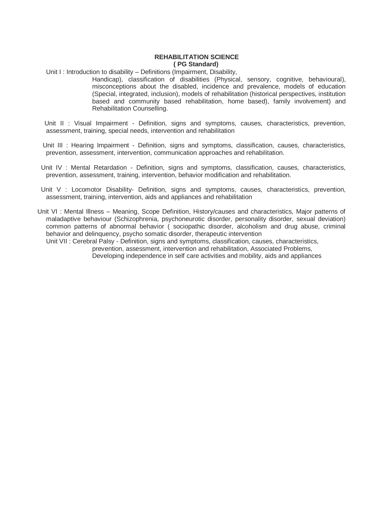## **REHABILITATION SCIENCE ( PG Standard)**

Unit I: Introduction to disability – Definitions (Impairment, Disability,

Handicap), classification of disabilities (Physical, sensory, cognitive, behavioural), misconceptions about the disabled, incidence and prevalence, models of education (Special, integrated, inclusion), models of rehabilitation (historical perspectives, institution based and community based rehabilitation, home based), family involvement) and Rehabilitation Counselling.

 Unit II : Visual Impairment - Definition, signs and symptoms, causes, characteristics, prevention, assessment, training, special needs, intervention and rehabilitation

 Unit III : Hearing Impairment - Definition, signs and symptoms, classification, causes, characteristics, prevention, assessment, intervention, communication approaches and rehabilitation.

 Unit IV : Mental Retardation - Definition, signs and symptoms, classification, causes, characteristics, prevention, assessment, training, intervention, behavior modification and rehabilitation.

Unit V : Locomotor Disability- Definition, signs and symptoms, causes, characteristics, prevention, assessment, training, intervention, aids and appliances and rehabilitation

 Unit VI : Mental Illness – Meaning, Scope Definition, History/causes and characteristics, Major patterns of maladaptive behaviour (Schizophrenia, psychoneurotic disorder, personality disorder, sexual deviation) common patterns of abnormal behavior ( sociopathic disorder, alcoholism and drug abuse, criminal behavior and delinquency, psycho somatic disorder, therapeutic intervention

Unit VII : Cerebral Palsy - Definition, signs and symptoms, classification, causes, characteristics, prevention, assessment, intervention and rehabilitation, Associated Problems, Developing independence in self care activities and mobility, aids and appliances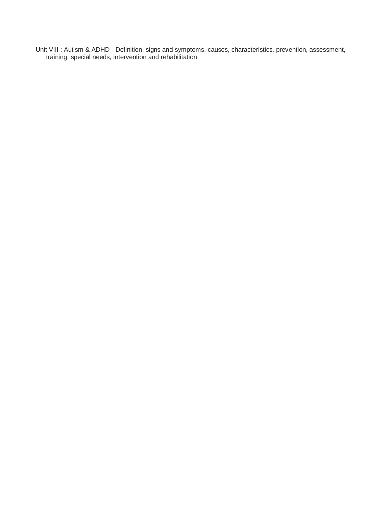Unit VIII : Autism & ADHD - Definition, signs and symptoms, causes, characteristics, prevention, assessment, training, special needs, intervention and rehabilitation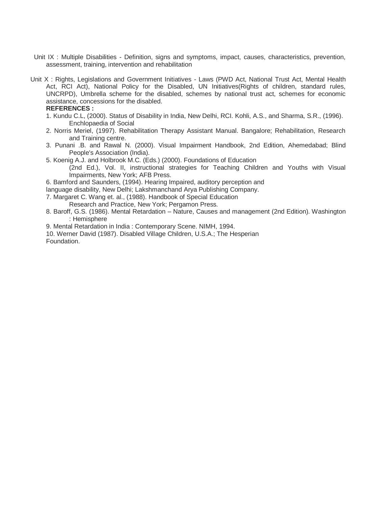- Unit IX : Multiple Disabilities Definition, signs and symptoms, impact, causes, characteristics, prevention, assessment, training, intervention and rehabilitation
- Unit X : Rights, Legislations and Government Initiatives Laws (PWD Act, National Trust Act, Mental Health Act, RCI Act), National Policy for the Disabled, UN Initiatives(Rights of children, standard rules, UNCRPD), Umbrella scheme for the disabled, schemes by national trust act, schemes for economic assistance, concessions for the disabled.

**REFERENCES :** 

- 1. Kundu C.L, (2000). Status of Disability in India, New Delhi, RCI. Kohli, A.S., and Sharma, S.R., (1996). Enchlopaedia of Social
- 2. Norris Meriel, (1997). Rehabilitation Therapy Assistant Manual. Bangalore; Rehabilitation, Research and Training centre.
- 3. Punani .B. and Rawal N. (2000). Visual Impairment Handbook, 2nd Edition, Ahemedabad; Blind People's Association (India).
- 5. Koenig A.J. and Holbrook M.C. (Eds.) (2000). Foundations of Education
	- (2nd Ed.), Vol. II, instructional strategies for Teaching Children and Youths with Visual Impairments, New York; AFB Press.
- 6. Bamford and Saunders, (1994). Hearing Impaired, auditory perception and
- language disability, New Delhi; Lakshmanchand Arya Publishing Company.
- 7. Margaret C. Wang et. al., (1988). Handbook of Special Education Research and Practice, New York; Pergamon Press.
- 8. Baroff, G.S. (1986). Mental Retardation Nature, Causes and management (2nd Edition). Washington : Hemisphere
- 9. Mental Retardation in India : Contemporary Scene. NIMH, 1994.
- 10. Werner David (1987). Disabled Village Children, U.S.A.; The Hesperian Foundation.